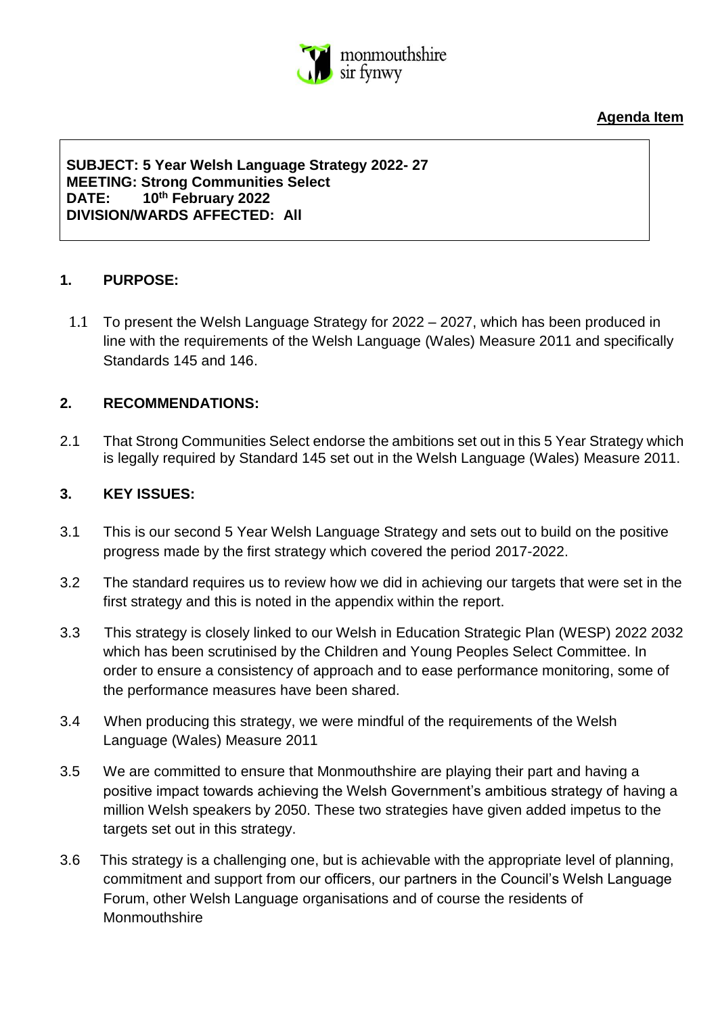

**Agenda Item** 

**SUBJECT: 5 Year Welsh Language Strategy 2022- 27 MEETING: Strong Communities Select DATE: 10th February 2022 DIVISION/WARDS AFFECTED: All**

#### **1. PURPOSE:**

1.1 To present the Welsh Language Strategy for 2022 – 2027, which has been produced in line with the requirements of the Welsh Language (Wales) Measure 2011 and specifically Standards 145 and 146.

## **2. RECOMMENDATIONS:**

2.1 That Strong Communities Select endorse the ambitions set out in this 5 Year Strategy which is legally required by Standard 145 set out in the Welsh Language (Wales) Measure 2011.

## **3. KEY ISSUES:**

- 3.1 This is our second 5 Year Welsh Language Strategy and sets out to build on the positive progress made by the first strategy which covered the period 2017-2022.
- 3.2 The standard requires us to review how we did in achieving our targets that were set in the first strategy and this is noted in the appendix within the report.
- 3.3 This strategy is closely linked to our Welsh in Education Strategic Plan (WESP) 2022 2032 which has been scrutinised by the Children and Young Peoples Select Committee. In order to ensure a consistency of approach and to ease performance monitoring, some of the performance measures have been shared.
- 3.4 When producing this strategy, we were mindful of the requirements of the Welsh Language (Wales) Measure 2011
- 3.5 We are committed to ensure that Monmouthshire are playing their part and having a positive impact towards achieving the Welsh Government's ambitious strategy of having a million Welsh speakers by 2050. These two strategies have given added impetus to the targets set out in this strategy.
- 3.6 This strategy is a challenging one, but is achievable with the appropriate level of planning, commitment and support from our officers, our partners in the Council's Welsh Language Forum, other Welsh Language organisations and of course the residents of **Monmouthshire**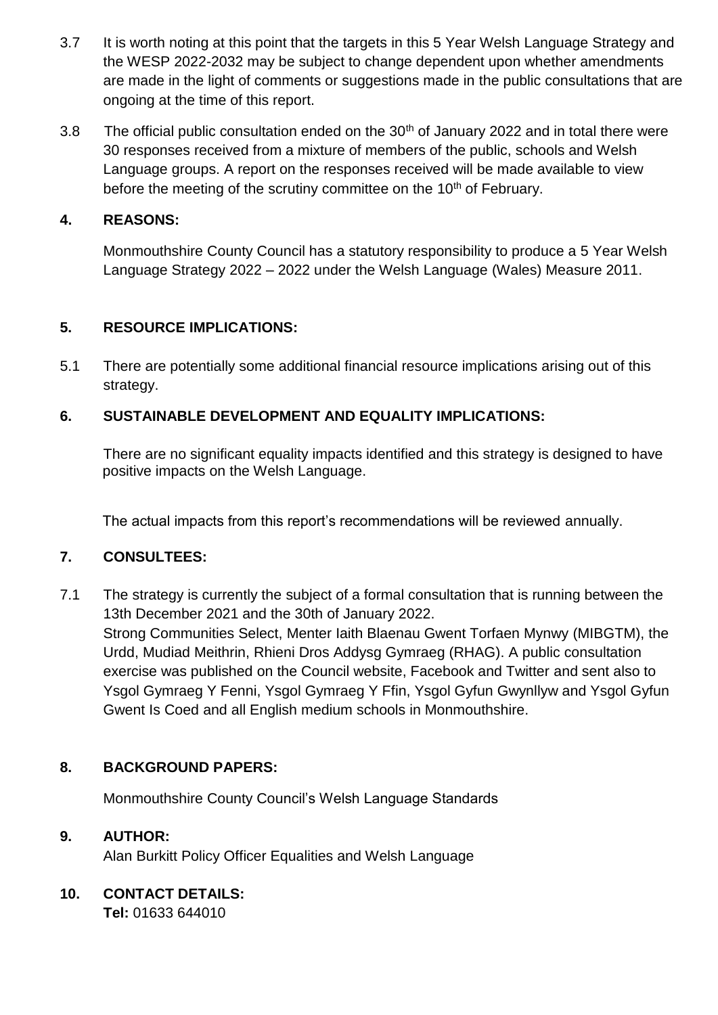- 3.7 It is worth noting at this point that the targets in this 5 Year Welsh Language Strategy and the WESP 2022-2032 may be subject to change dependent upon whether amendments are made in the light of comments or suggestions made in the public consultations that are ongoing at the time of this report.
- 3.8 The official public consultation ended on the  $30<sup>th</sup>$  of January 2022 and in total there were 30 responses received from a mixture of members of the public, schools and Welsh Language groups. A report on the responses received will be made available to view before the meeting of the scrutiny committee on the  $10<sup>th</sup>$  of February.

## **4. REASONS:**

Monmouthshire County Council has a statutory responsibility to produce a 5 Year Welsh Language Strategy 2022 – 2022 under the Welsh Language (Wales) Measure 2011.

## **5. RESOURCE IMPLICATIONS:**

5.1 There are potentially some additional financial resource implications arising out of this strategy.

# **6. SUSTAINABLE DEVELOPMENT AND EQUALITY IMPLICATIONS:**

There are no significant equality impacts identified and this strategy is designed to have positive impacts on the Welsh Language.

The actual impacts from this report's recommendations will be reviewed annually.

## **7. CONSULTEES:**

7.1 The strategy is currently the subject of a formal consultation that is running between the 13th December 2021 and the 30th of January 2022. Strong Communities Select, Menter Iaith Blaenau Gwent Torfaen Mynwy (MIBGTM), the Urdd, Mudiad Meithrin, Rhieni Dros Addysg Gymraeg (RHAG). A public consultation exercise was published on the Council website, Facebook and Twitter and sent also to Ysgol Gymraeg Y Fenni, Ysgol Gymraeg Y Ffin, Ysgol Gyfun Gwynllyw and Ysgol Gyfun Gwent Is Coed and all English medium schools in Monmouthshire.

## **8. BACKGROUND PAPERS:**

Monmouthshire County Council's Welsh Language Standards

## **9. AUTHOR:**

Alan Burkitt Policy Officer Equalities and Welsh Language

# **10. CONTACT DETAILS:**

**Tel:** 01633 644010